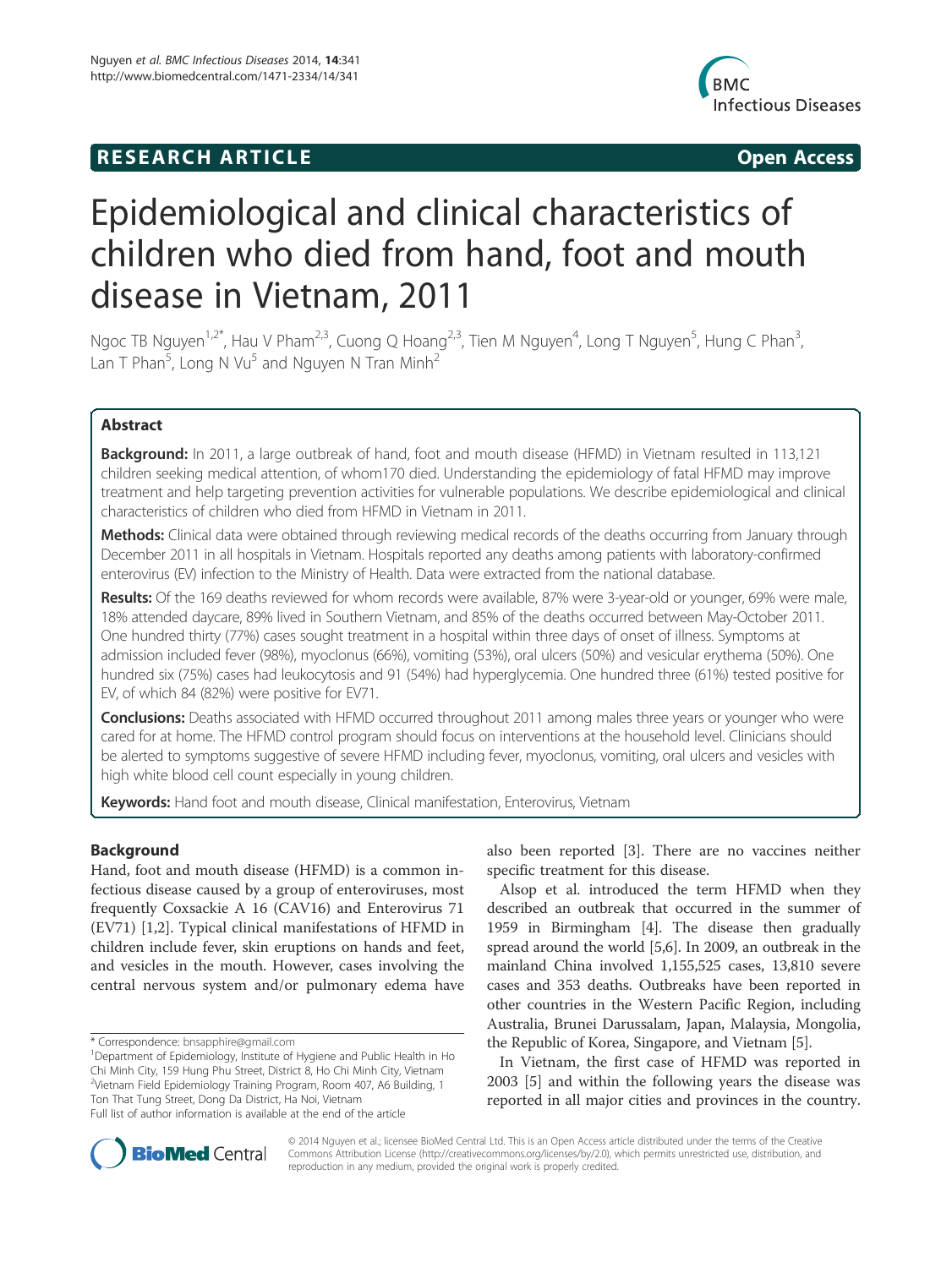# **RESEARCH ARTICLE Example 2014 CONSIDERING CONSIDERING CONSIDERING CONSIDERING CONSIDERING CONSIDERING CONSIDERING CONSIDERING CONSIDERING CONSIDERING CONSIDERING CONSIDERING CONSIDERING CONSIDERING CONSIDERING CONSIDE**



# Epidemiological and clinical characteristics of children who died from hand, foot and mouth disease in Vietnam, 2011

Ngoc TB Nguyen<sup>1,2\*</sup>, Hau V Pham<sup>2,3</sup>, Cuong Q Hoang<sup>2,3</sup>, Tien M Nguyen<sup>4</sup>, Long T Nguyen<sup>5</sup>, Hung C Phan<sup>3</sup> , Lan T Phan $^5$ , Long N Vu $^5$  and Nguyen N Tran Minh $^2$ 

# Abstract

Background: In 2011, a large outbreak of hand, foot and mouth disease (HFMD) in Vietnam resulted in 113,121 children seeking medical attention, of whom170 died. Understanding the epidemiology of fatal HFMD may improve treatment and help targeting prevention activities for vulnerable populations. We describe epidemiological and clinical characteristics of children who died from HFMD in Vietnam in 2011.

Methods: Clinical data were obtained through reviewing medical records of the deaths occurring from January through December 2011 in all hospitals in Vietnam. Hospitals reported any deaths among patients with laboratory-confirmed enterovirus (EV) infection to the Ministry of Health. Data were extracted from the national database.

Results: Of the 169 deaths reviewed for whom records were available, 87% were 3-year-old or younger, 69% were male, 18% attended daycare, 89% lived in Southern Vietnam, and 85% of the deaths occurred between May-October 2011. One hundred thirty (77%) cases sought treatment in a hospital within three days of onset of illness. Symptoms at admission included fever (98%), myoclonus (66%), vomiting (53%), oral ulcers (50%) and vesicular erythema (50%). One hundred six (75%) cases had leukocytosis and 91 (54%) had hyperglycemia. One hundred three (61%) tested positive for EV, of which 84 (82%) were positive for EV71.

Conclusions: Deaths associated with HFMD occurred throughout 2011 among males three years or younger who were cared for at home. The HFMD control program should focus on interventions at the household level. Clinicians should be alerted to symptoms suggestive of severe HFMD including fever, myoclonus, vomiting, oral ulcers and vesicles with high white blood cell count especially in young children.

Keywords: Hand foot and mouth disease, Clinical manifestation, Enterovirus, Vietnam

# Background

Hand, foot and mouth disease (HFMD) is a common infectious disease caused by a group of enteroviruses, most frequently Coxsackie A 16 (CAV16) and Enterovirus 71 (EV71) [1,2]. Typical clinical manifestations of HFMD in children include fever, skin eruptions on hands and feet, and vesicles in the mouth. However, cases involving the central nervous system and/or pulmonary edema have

also been reported [3]. There are no vaccines neither specific treatment for this disease.

Alsop et al. introduced the term HFMD when they described an outbreak that occurred in the summer of 1959 in Birmingham [4]. The disease then gradually spread around the world [5,6]. In 2009, an outbreak in the mainland China involved 1,155,525 cases, 13,810 severe cases and 353 deaths. Outbreaks have been reported in other countries in the Western Pacific Region, including Australia, Brunei Darussalam, Japan, Malaysia, Mongolia, the Republic of Korea, Singapore, and Vietnam [5].

In Vietnam, the first case of HFMD was reported in 2003 [5] and within the following years the disease was reported in all major cities and provinces in the country.



© 2014 Nguyen et al.; licensee BioMed Central Ltd. This is an Open Access article distributed under the terms of the Creative Commons Attribution License (http://creativecommons.org/licenses/by/2.0), which permits unrestricted use, distribution, and reproduction in any medium, provided the original work is properly credited.

<sup>\*</sup> Correspondence: bnsapphire@gmail.com <sup>1</sup>

<sup>&</sup>lt;sup>1</sup>Department of Epidemiology, Institute of Hygiene and Public Health in Ho Chi Minh City, 159 Hung Phu Street, District 8, Ho Chi Minh City, Vietnam 2 Vietnam Field Epidemiology Training Program, Room 407, A6 Building, 1 Ton That Tung Street, Dong Da District, Ha Noi, Vietnam Full list of author information is available at the end of the article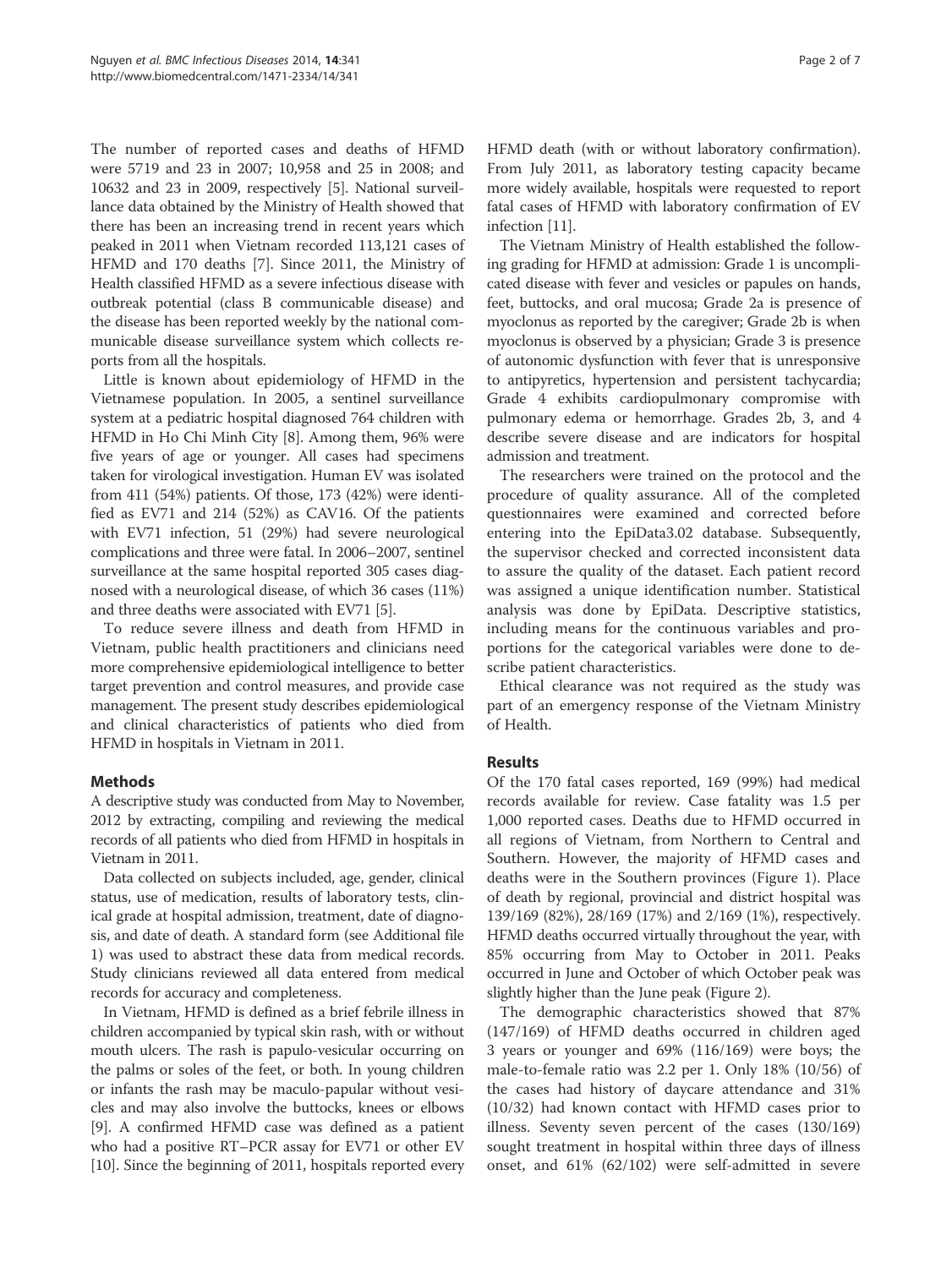The number of reported cases and deaths of HFMD were 5719 and 23 in 2007; 10,958 and 25 in 2008; and 10632 and 23 in 2009, respectively [5]. National surveillance data obtained by the Ministry of Health showed that there has been an increasing trend in recent years which peaked in 2011 when Vietnam recorded 113,121 cases of HFMD and 170 deaths [7]. Since 2011, the Ministry of Health classified HFMD as a severe infectious disease with outbreak potential (class B communicable disease) and the disease has been reported weekly by the national communicable disease surveillance system which collects reports from all the hospitals.

Little is known about epidemiology of HFMD in the Vietnamese population. In 2005, a sentinel surveillance system at a pediatric hospital diagnosed 764 children with HFMD in Ho Chi Minh City [8]. Among them, 96% were five years of age or younger. All cases had specimens taken for virological investigation. Human EV was isolated from 411 (54%) patients. Of those, 173 (42%) were identified as EV71 and 214 (52%) as CAV16. Of the patients with EV71 infection, 51 (29%) had severe neurological complications and three were fatal. In 2006–2007, sentinel surveillance at the same hospital reported 305 cases diagnosed with a neurological disease, of which 36 cases (11%) and three deaths were associated with EV71 [5].

To reduce severe illness and death from HFMD in Vietnam, public health practitioners and clinicians need more comprehensive epidemiological intelligence to better target prevention and control measures, and provide case management. The present study describes epidemiological and clinical characteristics of patients who died from HFMD in hospitals in Vietnam in 2011.

# Methods

A descriptive study was conducted from May to November, 2012 by extracting, compiling and reviewing the medical records of all patients who died from HFMD in hospitals in Vietnam in 2011.

Data collected on subjects included, age, gender, clinical status, use of medication, results of laboratory tests, clinical grade at hospital admission, treatment, date of diagnosis, and date of death. A standard form (see Additional file 1) was used to abstract these data from medical records. Study clinicians reviewed all data entered from medical records for accuracy and completeness.

In Vietnam, HFMD is defined as a brief febrile illness in children accompanied by typical skin rash, with or without mouth ulcers. The rash is papulo-vesicular occurring on the palms or soles of the feet, or both. In young children or infants the rash may be maculo-papular without vesicles and may also involve the buttocks, knees or elbows [9]. A confirmed HFMD case was defined as a patient who had a positive RT–PCR assay for EV71 or other EV [10]. Since the beginning of 2011, hospitals reported every HFMD death (with or without laboratory confirmation). From July 2011, as laboratory testing capacity became more widely available, hospitals were requested to report fatal cases of HFMD with laboratory confirmation of EV infection [11].

The Vietnam Ministry of Health established the following grading for HFMD at admission: Grade 1 is uncomplicated disease with fever and vesicles or papules on hands, feet, buttocks, and oral mucosa; Grade 2a is presence of myoclonus as reported by the caregiver; Grade 2b is when myoclonus is observed by a physician; Grade 3 is presence of autonomic dysfunction with fever that is unresponsive to antipyretics, hypertension and persistent tachycardia; Grade 4 exhibits cardiopulmonary compromise with pulmonary edema or hemorrhage. Grades 2b, 3, and 4 describe severe disease and are indicators for hospital admission and treatment.

The researchers were trained on the protocol and the procedure of quality assurance. All of the completed questionnaires were examined and corrected before entering into the EpiData3.02 database. Subsequently, the supervisor checked and corrected inconsistent data to assure the quality of the dataset. Each patient record was assigned a unique identification number. Statistical analysis was done by EpiData. Descriptive statistics, including means for the continuous variables and proportions for the categorical variables were done to describe patient characteristics.

Ethical clearance was not required as the study was part of an emergency response of the Vietnam Ministry of Health.

# Results

Of the 170 fatal cases reported, 169 (99%) had medical records available for review. Case fatality was 1.5 per 1,000 reported cases. Deaths due to HFMD occurred in all regions of Vietnam, from Northern to Central and Southern. However, the majority of HFMD cases and deaths were in the Southern provinces (Figure 1). Place of death by regional, provincial and district hospital was 139/169 (82%), 28/169 (17%) and 2/169 (1%), respectively. HFMD deaths occurred virtually throughout the year, with 85% occurring from May to October in 2011. Peaks occurred in June and October of which October peak was slightly higher than the June peak (Figure 2).

The demographic characteristics showed that 87% (147/169) of HFMD deaths occurred in children aged 3 years or younger and 69% (116/169) were boys; the male-to-female ratio was 2.2 per 1. Only 18% (10/56) of the cases had history of daycare attendance and 31% (10/32) had known contact with HFMD cases prior to illness. Seventy seven percent of the cases (130/169) sought treatment in hospital within three days of illness onset, and 61% (62/102) were self-admitted in severe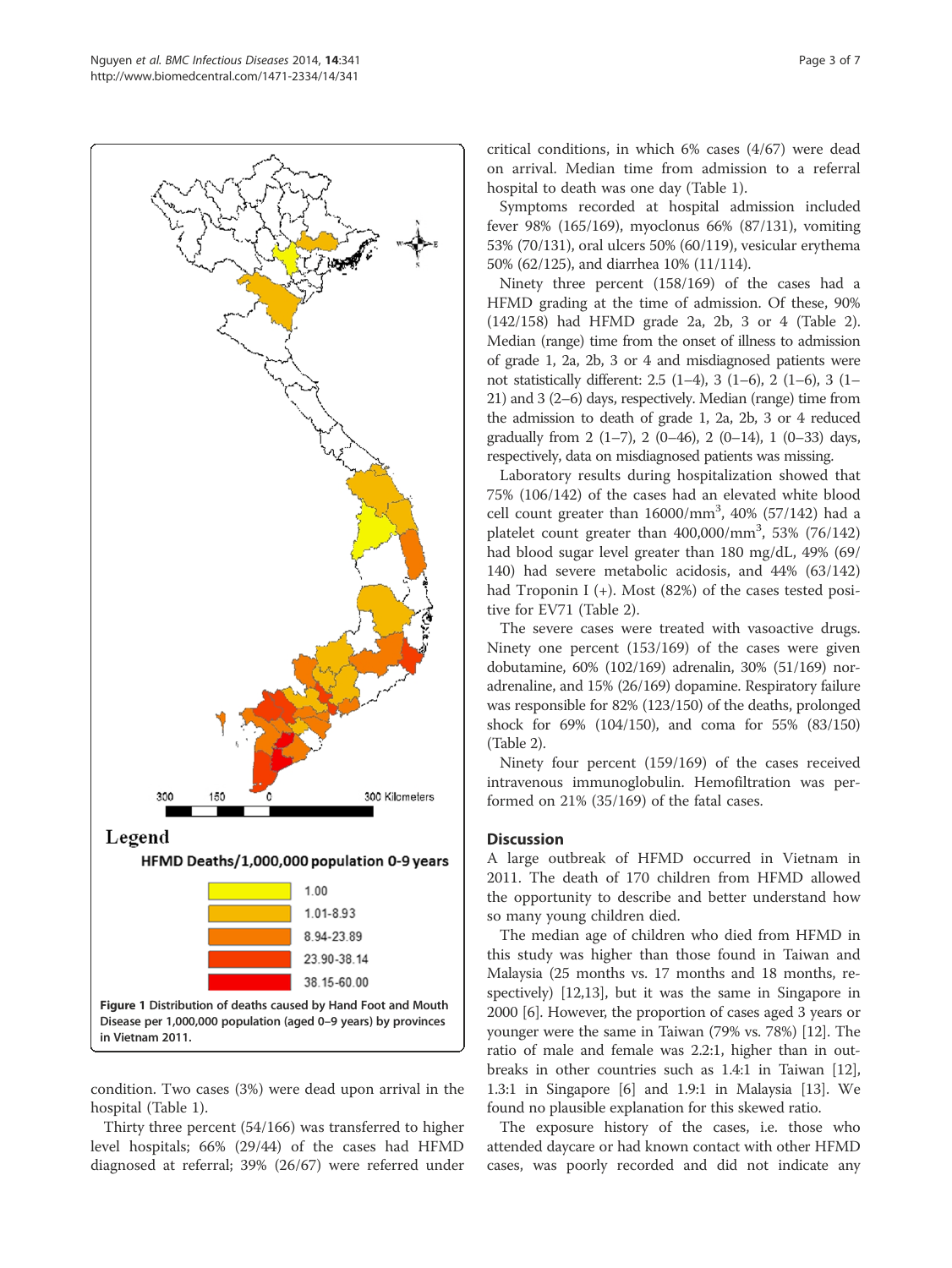

condition. Two cases (3%) were dead upon arrival in the hospital (Table 1).

Thirty three percent (54/166) was transferred to higher level hospitals; 66% (29/44) of the cases had HFMD diagnosed at referral; 39% (26/67) were referred under critical conditions, in which 6% cases (4/67) were dead on arrival. Median time from admission to a referral hospital to death was one day (Table 1).

Symptoms recorded at hospital admission included fever 98% (165/169), myoclonus 66% (87/131), vomiting 53% (70/131), oral ulcers 50% (60/119), vesicular erythema 50% (62/125), and diarrhea 10% (11/114).

Ninety three percent (158/169) of the cases had a HFMD grading at the time of admission. Of these, 90% (142/158) had HFMD grade 2a, 2b, 3 or 4 (Table 2). Median (range) time from the onset of illness to admission of grade 1, 2a, 2b, 3 or 4 and misdiagnosed patients were not statistically different: 2.5 (1–4), 3 (1–6), 2 (1–6), 3 (1– 21) and 3 (2–6) days, respectively. Median (range) time from the admission to death of grade 1, 2a, 2b, 3 or 4 reduced gradually from  $2(1-7)$ ,  $2(0-46)$ ,  $2(0-14)$ ,  $1(0-33)$  days, respectively, data on misdiagnosed patients was missing.

Laboratory results during hospitalization showed that 75% (106/142) of the cases had an elevated white blood cell count greater than  $16000/\text{mm}^3$ ,  $40\%$  (57/142) had a platelet count greater than  $400,000/\text{mm}^3$ , 53% (76/142) had blood sugar level greater than 180 mg/dL, 49% (69/ 140) had severe metabolic acidosis, and 44% (63/142) had Troponin I (+). Most (82%) of the cases tested positive for EV71 (Table 2).

The severe cases were treated with vasoactive drugs. Ninety one percent (153/169) of the cases were given dobutamine, 60% (102/169) adrenalin, 30% (51/169) noradrenaline, and 15% (26/169) dopamine. Respiratory failure was responsible for 82% (123/150) of the deaths, prolonged shock for 69% (104/150), and coma for 55% (83/150) (Table 2).

Ninety four percent (159/169) of the cases received intravenous immunoglobulin. Hemofiltration was performed on 21% (35/169) of the fatal cases.

# Discussion

A large outbreak of HFMD occurred in Vietnam in 2011. The death of 170 children from HFMD allowed the opportunity to describe and better understand how so many young children died.

The median age of children who died from HFMD in this study was higher than those found in Taiwan and Malaysia (25 months vs. 17 months and 18 months, respectively) [12,13], but it was the same in Singapore in 2000 [6]. However, the proportion of cases aged 3 years or younger were the same in Taiwan (79% vs. 78%) [12]. The ratio of male and female was 2.2:1, higher than in outbreaks in other countries such as 1.4:1 in Taiwan [12], 1.3:1 in Singapore [6] and 1.9:1 in Malaysia [13]. We found no plausible explanation for this skewed ratio.

The exposure history of the cases, i.e. those who attended daycare or had known contact with other HFMD cases, was poorly recorded and did not indicate any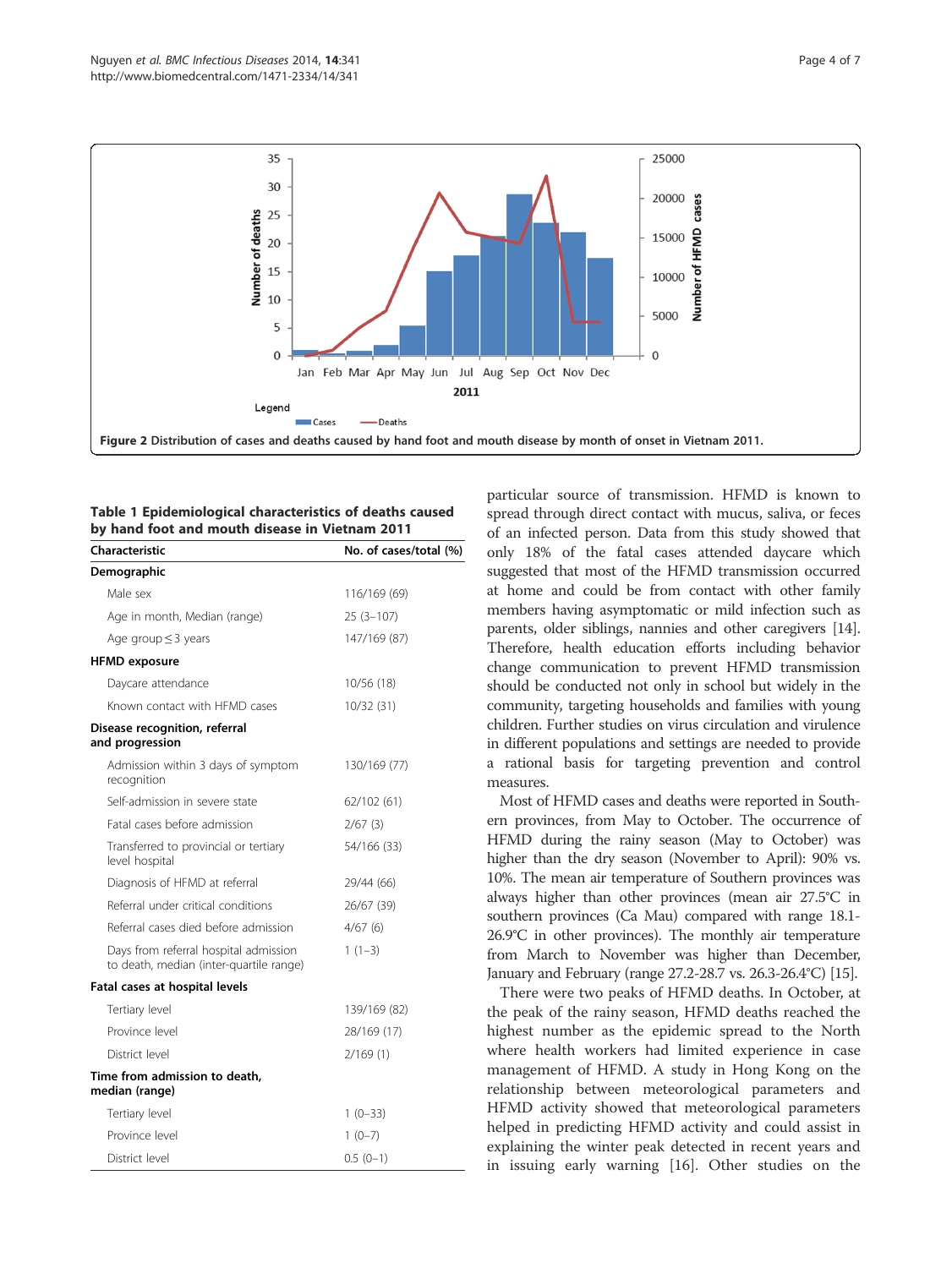

Table 1 Epidemiological characteristics of deaths caused by hand foot and mouth disease in Vietnam 2011

| Characteristic                                                                   | No. of cases/total (%) |
|----------------------------------------------------------------------------------|------------------------|
| Demographic                                                                      |                        |
| Male sex                                                                         | 116/169 (69)           |
| Age in month, Median (range)                                                     | $25(3-107)$            |
| Age group $\leq$ 3 years                                                         | 147/169 (87)           |
| <b>HFMD</b> exposure                                                             |                        |
| Daycare attendance                                                               | 10/56 (18)             |
| Known contact with HFMD cases                                                    | 10/32(31)              |
| Disease recognition, referral<br>and progression                                 |                        |
| Admission within 3 days of symptom<br>recognition                                | 130/169 (77)           |
| Self-admission in severe state                                                   | 62/102 (61)            |
| Fatal cases before admission                                                     | 2/67(3)                |
| Transferred to provincial or tertiary<br>level hospital                          | 54/166 (33)            |
| Diagnosis of HFMD at referral                                                    | 29/44 (66)             |
| Referral under critical conditions                                               | 26/67 (39)             |
| Referral cases died before admission                                             | 4/67(6)                |
| Days from referral hospital admission<br>to death, median (inter-quartile range) | $1(1-3)$               |
| Fatal cases at hospital levels                                                   |                        |
| Tertiary level                                                                   | 139/169 (82)           |
| Province level                                                                   | 28/169 (17)            |
| District level                                                                   | 2/169(1)               |
| Time from admission to death,<br>median (range)                                  |                        |
| Tertiary level                                                                   | $1(0-33)$              |
| Province level                                                                   | $1(0-7)$               |
| District level                                                                   | $0.5(0-1)$             |

particular source of transmission. HFMD is known to spread through direct contact with mucus, saliva, or feces of an infected person. Data from this study showed that only 18% of the fatal cases attended daycare which suggested that most of the HFMD transmission occurred at home and could be from contact with other family members having asymptomatic or mild infection such as parents, older siblings, nannies and other caregivers [14]. Therefore, health education efforts including behavior change communication to prevent HFMD transmission should be conducted not only in school but widely in the community, targeting households and families with young children. Further studies on virus circulation and virulence in different populations and settings are needed to provide a rational basis for targeting prevention and control measures.

Most of HFMD cases and deaths were reported in Southern provinces, from May to October. The occurrence of HFMD during the rainy season (May to October) was higher than the dry season (November to April): 90% vs. 10%. The mean air temperature of Southern provinces was always higher than other provinces (mean air 27.5°C in southern provinces (Ca Mau) compared with range 18.1- 26.9°C in other provinces). The monthly air temperature from March to November was higher than December, January and February (range 27.2-28.7 vs. 26.3-26.4°C) [15].

There were two peaks of HFMD deaths. In October, at the peak of the rainy season, HFMD deaths reached the highest number as the epidemic spread to the North where health workers had limited experience in case management of HFMD. A study in Hong Kong on the relationship between meteorological parameters and HFMD activity showed that meteorological parameters helped in predicting HFMD activity and could assist in explaining the winter peak detected in recent years and in issuing early warning [16]. Other studies on the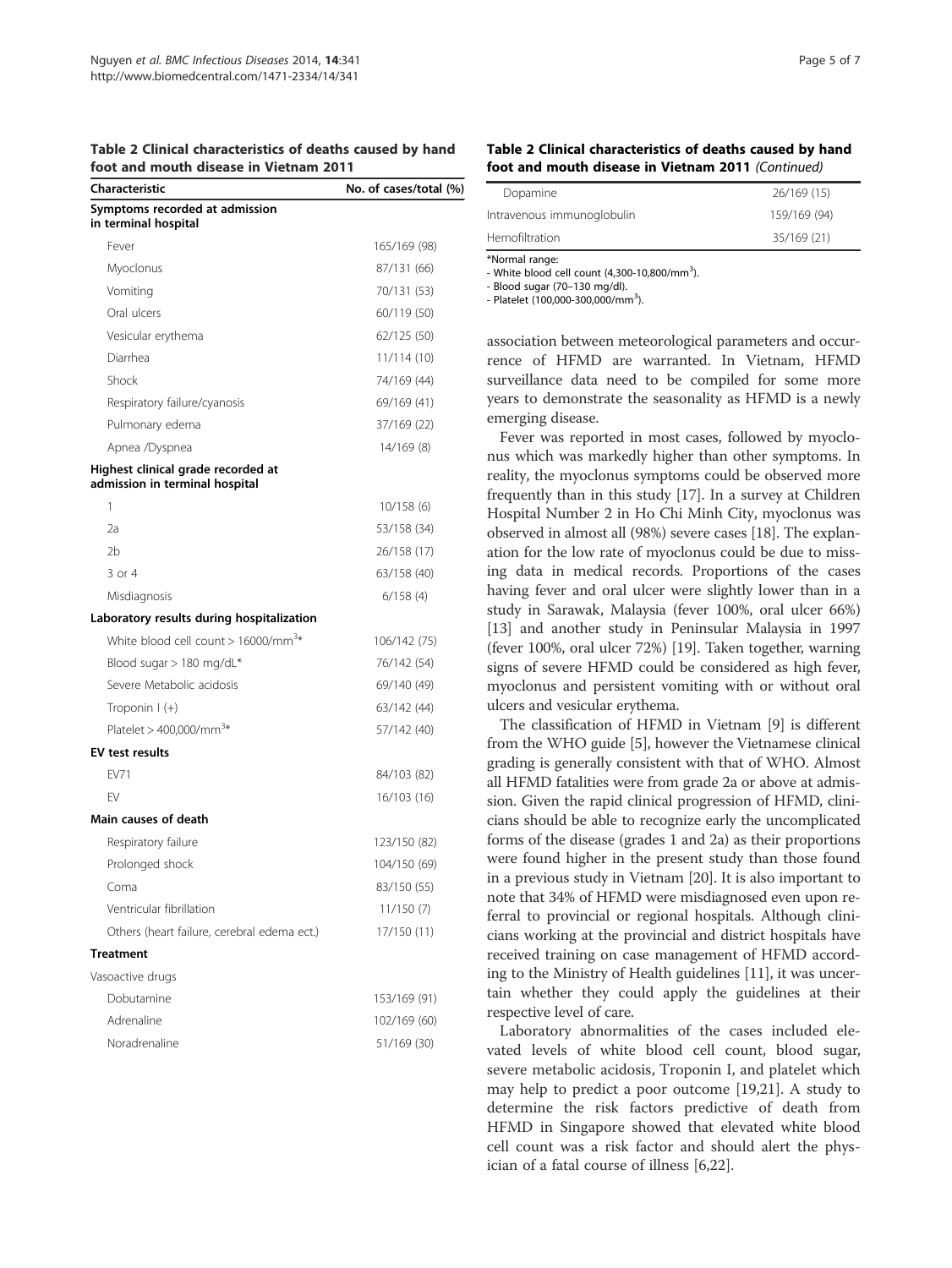|  | Table 2 Clinical characteristics of deaths caused by hand |  |
|--|-----------------------------------------------------------|--|
|  | foot and mouth disease in Vietnam 2011                    |  |

| foot and mouth disease in Vietnam 2011                               |                        |  |  |
|----------------------------------------------------------------------|------------------------|--|--|
| Characteristic                                                       | No. of cases/total (%) |  |  |
| Symptoms recorded at admission<br>in terminal hospital               |                        |  |  |
| Fever                                                                | 165/169 (98)           |  |  |
| Myoclonus                                                            | 87/131 (66)            |  |  |
| Vomiting                                                             | 70/131 (53)            |  |  |
| Oral ulcers                                                          | 60/119 (50)            |  |  |
| Vesicular erythema                                                   | 62/125 (50)            |  |  |
| Diarrhea                                                             | 11/114 (10)            |  |  |
| Shock                                                                | 74/169 (44)            |  |  |
| Respiratory failure/cyanosis                                         | 69/169 (41)            |  |  |
| Pulmonary edema                                                      | 37/169 (22)            |  |  |
| Apnea /Dyspnea                                                       | 14/169 (8)             |  |  |
| Highest clinical grade recorded at<br>admission in terminal hospital |                        |  |  |
| 1                                                                    | 10/158(6)              |  |  |
| 2a                                                                   | 53/158 (34)            |  |  |
| 2 <sub>b</sub>                                                       | 26/158 (17)            |  |  |
| $3$ or $4$                                                           | 63/158 (40)            |  |  |
| Misdiagnosis                                                         | 6/158(4)               |  |  |
| Laboratory results during hospitalization                            |                        |  |  |
| White blood cell count $> 16000/mm^{3*}$                             | 106/142 (75)           |  |  |
| Blood sugar > 180 mg/dL*                                             | 76/142 (54)            |  |  |
| Severe Metabolic acidosis                                            | 69/140 (49)            |  |  |
| Troponin $\vert$ (+)                                                 | 63/142 (44)            |  |  |
| Platelet > 400,000/mm <sup>3*</sup>                                  | 57/142 (40)            |  |  |
| <b>EV test results</b>                                               |                        |  |  |
| FV71                                                                 | 84/103 (82)            |  |  |
| FV                                                                   | 16/103 (16)            |  |  |
| Main causes of death                                                 |                        |  |  |
| Respiratory failure                                                  | 123/150 (82)           |  |  |
| Prolonged shock                                                      | 104/150 (69)           |  |  |
| Coma                                                                 | 83/150 (55)            |  |  |
| Ventricular fibrillation                                             | 11/150 (7)             |  |  |
| Others (heart failure, cerebral edema ect.)                          | 17/150 (11)            |  |  |
| <b>Treatment</b>                                                     |                        |  |  |
| Vasoactive drugs                                                     |                        |  |  |
| Dobutamine                                                           | 153/169 (91)           |  |  |
| Adrenaline                                                           | 102/169 (60)           |  |  |
| Noradrenaline                                                        | 51/169 (30)            |  |  |

| Table 2 Clinical characteristics of deaths caused by hand |
|-----------------------------------------------------------|
| foot and mouth disease in Vietnam 2011 (Continued)        |

| *Normal range:             |              |
|----------------------------|--------------|
| Hemofiltration             | 35/169 (21)  |
| Intravenous immunoglobulin | 159/169 (94) |
| Dopamine                   | 26/169 (15)  |
|                            |              |

- White blood cell count  $(4,300-10,800/mm^3)$ .

- Blood sugar (70–130 mg/dl).

- Platelet (100,000-300,000/mm<sup>3</sup>).

association between meteorological parameters and occurrence of HFMD are warranted. In Vietnam, HFMD surveillance data need to be compiled for some more years to demonstrate the seasonality as HFMD is a newly emerging disease.

Fever was reported in most cases, followed by myoclonus which was markedly higher than other symptoms. In reality, the myoclonus symptoms could be observed more frequently than in this study [17]. In a survey at Children Hospital Number 2 in Ho Chi Minh City, myoclonus was observed in almost all (98%) severe cases [18]. The explanation for the low rate of myoclonus could be due to missing data in medical records. Proportions of the cases having fever and oral ulcer were slightly lower than in a study in Sarawak, Malaysia (fever 100%, oral ulcer 66%) [13] and another study in Peninsular Malaysia in 1997 (fever 100%, oral ulcer 72%) [19]. Taken together, warning signs of severe HFMD could be considered as high fever, myoclonus and persistent vomiting with or without oral ulcers and vesicular erythema.

The classification of HFMD in Vietnam [9] is different from the WHO guide [5], however the Vietnamese clinical grading is generally consistent with that of WHO. Almost all HFMD fatalities were from grade 2a or above at admission. Given the rapid clinical progression of HFMD, clinicians should be able to recognize early the uncomplicated forms of the disease (grades 1 and 2a) as their proportions were found higher in the present study than those found in a previous study in Vietnam [20]. It is also important to note that 34% of HFMD were misdiagnosed even upon referral to provincial or regional hospitals. Although clinicians working at the provincial and district hospitals have received training on case management of HFMD according to the Ministry of Health guidelines [11], it was uncertain whether they could apply the guidelines at their respective level of care.

Laboratory abnormalities of the cases included elevated levels of white blood cell count, blood sugar, severe metabolic acidosis, Troponin I, and platelet which may help to predict a poor outcome [19,21]. A study to determine the risk factors predictive of death from HFMD in Singapore showed that elevated white blood cell count was a risk factor and should alert the physician of a fatal course of illness [6,22].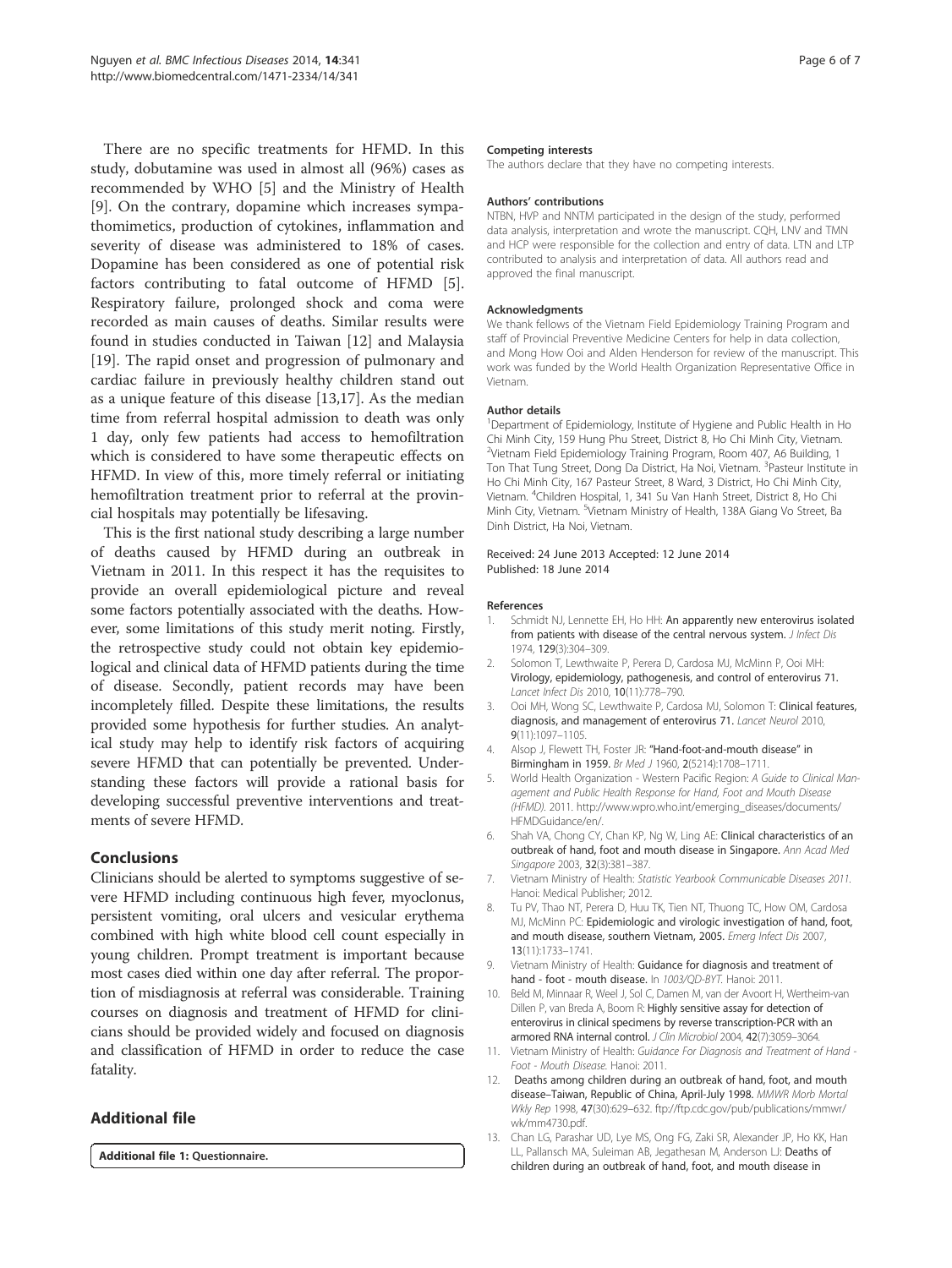There are no specific treatments for HFMD. In this study, dobutamine was used in almost all (96%) cases as recommended by WHO [5] and the Ministry of Health [9]. On the contrary, dopamine which increases sympathomimetics, production of cytokines, inflammation and severity of disease was administered to 18% of cases. Dopamine has been considered as one of potential risk factors contributing to fatal outcome of HFMD [5]. Respiratory failure, prolonged shock and coma were recorded as main causes of deaths. Similar results were found in studies conducted in Taiwan [12] and Malaysia [19]. The rapid onset and progression of pulmonary and cardiac failure in previously healthy children stand out as a unique feature of this disease [13,17]. As the median time from referral hospital admission to death was only 1 day, only few patients had access to hemofiltration which is considered to have some therapeutic effects on HFMD. In view of this, more timely referral or initiating hemofiltration treatment prior to referral at the provincial hospitals may potentially be lifesaving.

This is the first national study describing a large number of deaths caused by HFMD during an outbreak in Vietnam in 2011. In this respect it has the requisites to provide an overall epidemiological picture and reveal some factors potentially associated with the deaths. However, some limitations of this study merit noting. Firstly, the retrospective study could not obtain key epidemiological and clinical data of HFMD patients during the time of disease. Secondly, patient records may have been incompletely filled. Despite these limitations, the results provided some hypothesis for further studies. An analytical study may help to identify risk factors of acquiring severe HFMD that can potentially be prevented. Understanding these factors will provide a rational basis for developing successful preventive interventions and treatments of severe HFMD.

# Conclusions

Clinicians should be alerted to symptoms suggestive of severe HFMD including continuous high fever, myoclonus, persistent vomiting, oral ulcers and vesicular erythema combined with high white blood cell count especially in young children. Prompt treatment is important because most cases died within one day after referral. The proportion of misdiagnosis at referral was considerable. Training courses on diagnosis and treatment of HFMD for clinicians should be provided widely and focused on diagnosis and classification of HFMD in order to reduce the case fatality.

# Additional file

Additional file 1: Questionnaire.

#### Competing interests

The authors declare that they have no competing interests.

#### Authors' contributions

NTBN, HVP and NNTM participated in the design of the study, performed data analysis, interpretation and wrote the manuscript. CQH, LNV and TMN and HCP were responsible for the collection and entry of data. LTN and LTP contributed to analysis and interpretation of data. All authors read and approved the final manuscript.

#### **Acknowledgments**

We thank fellows of the Vietnam Field Epidemiology Training Program and staff of Provincial Preventive Medicine Centers for help in data collection, and Mong How Ooi and Alden Henderson for review of the manuscript. This work was funded by the World Health Organization Representative Office in Vietnam.

#### Author details

<sup>1</sup>Department of Epidemiology, Institute of Hygiene and Public Health in Ho Chi Minh City, 159 Hung Phu Street, District 8, Ho Chi Minh City, Vietnam. <sup>2</sup>Vietnam Field Epidemiology Training Program, Room 407, A6 Building, 1 Ton That Tung Street, Dong Da District, Ha Noi, Vietnam. <sup>3</sup>Pasteur Institute in Ho Chi Minh City, 167 Pasteur Street, 8 Ward, 3 District, Ho Chi Minh City, Vietnam. <sup>4</sup> Children Hospital, 1, 341 Su Van Hanh Street, District 8, Ho Chi Minh City, Vietnam. <sup>5</sup>Vietnam Ministry of Health, 138A Giang Vo Street, Ba Dinh District, Ha Noi, Vietnam.

### Received: 24 June 2013 Accepted: 12 June 2014 Published: 18 June 2014

#### References

- Schmidt NJ, Lennette EH, Ho HH: An apparently new enterovirus isolated from patients with disease of the central nervous system. J Infect Dis 1974, 129(3):304–309.
- 2. Solomon T, Lewthwaite P, Perera D, Cardosa MJ, McMinn P, Ooi MH: Virology, epidemiology, pathogenesis, and control of enterovirus 71. Lancet Infect Dis 2010, 10(11):778–790.
- 3. Ooi MH, Wong SC, Lewthwaite P, Cardosa MJ, Solomon T: Clinical features, diagnosis, and management of enterovirus 71. Lancet Neurol 2010, 9(11):1097–1105.
- 4. Alsop J, Flewett TH, Foster JR: "Hand-foot-and-mouth disease" in Birmingham in 1959. Br Med J 1960, 2(5214):1708–1711.
- 5. World Health Organization Western Pacific Region: A Guide to Clinical Management and Public Health Response for Hand, Foot and Mouth Disease (HFMD). 2011. http://www.wpro.who.int/emerging\_diseases/documents/ HFMDGuidance/en/.
- 6. Shah VA, Chong CY, Chan KP, Ng W, Ling AE: Clinical characteristics of an outbreak of hand, foot and mouth disease in Singapore. Ann Acad Med Singapore 2003, 32(3):381–387.
- 7. Vietnam Ministry of Health: Statistic Yearbook Communicable Diseases 2011. Hanoi: Medical Publisher; 2012.
- 8. Tu PV, Thao NT, Perera D, Huu TK, Tien NT, Thuong TC, How OM, Cardosa MJ, McMinn PC: Epidemiologic and virologic investigation of hand, foot, and mouth disease, southern Vietnam, 2005. Emerg Infect Dis 2007, 13(11):1733–1741.
- 9. Vietnam Ministry of Health: Guidance for diagnosis and treatment of hand - foot - mouth disease. In 1003/QD-BYT. Hanoi: 2011.
- 10. Beld M, Minnaar R, Weel J, Sol C, Damen M, van der Avoort H, Wertheim-van Dillen P, van Breda A, Boom R: Highly sensitive assay for detection of enterovirus in clinical specimens by reverse transcription-PCR with an armored RNA internal control. J Clin Microbiol 2004, 42(7):3059–3064.
- 11. Vietnam Ministry of Health: Guidance For Diagnosis and Treatment of Hand -Foot - Mouth Disease. Hanoi: 2011.
- 12. Deaths among children during an outbreak of hand, foot, and mouth disease–Taiwan, Republic of China, April-July 1998. MMWR Morb Mortal Wkly Rep 1998, 47(30):629–632. ftp://ftp.cdc.gov/pub/publications/mmwr/ wk/mm4730.pdf.
- 13. Chan LG, Parashar UD, Lye MS, Ong FG, Zaki SR, Alexander JP, Ho KK, Han LL, Pallansch MA, Suleiman AB, Jegathesan M, Anderson LJ: Deaths of children during an outbreak of hand, foot, and mouth disease in